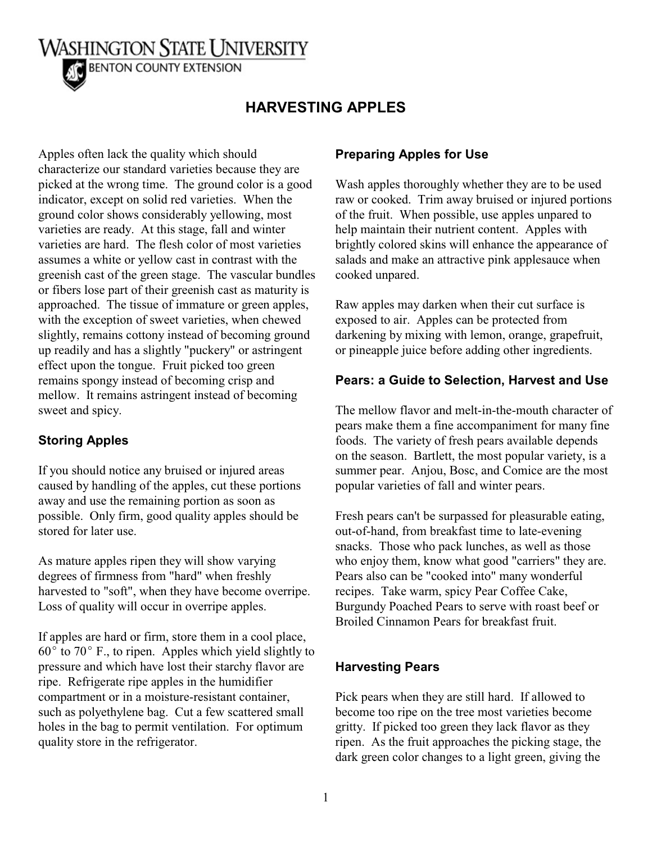**WASHINGTON STATE UNIVERSITY BENTON COUNTY EXTENSION** 

# **HARVESTING APPLES**

Apples often lack the quality which should characterize our standard varieties because they are picked at the wrong time. The ground color is a good indicator, except on solid red varieties. When the ground color shows considerably yellowing, most varieties are ready. At this stage, fall and winter varieties are hard. The flesh color of most varieties assumes a white or yellow cast in contrast with the greenish cast of the green stage. The vascular bundles or fibers lose part of their greenish cast as maturity is approached. The tissue of immature or green apples, with the exception of sweet varieties, when chewed slightly, remains cottony instead of becoming ground up readily and has a slightly "puckery" or astringent effect upon the tongue. Fruit picked too green remains spongy instead of becoming crisp and mellow. It remains astringent instead of becoming sweet and spicy.

## **Storing Apples**

If you should notice any bruised or injured areas caused by handling of the apples, cut these portions away and use the remaining portion as soon as possible. Only firm, good quality apples should be stored for later use.

As mature apples ripen they will show varying degrees of firmness from "hard" when freshly harvested to "soft", when they have become overripe. Loss of quality will occur in overripe apples.

If apples are hard or firm, store them in a cool place,  $60^{\circ}$  to 70 $^{\circ}$  F., to ripen. Apples which yield slightly to pressure and which have lost their starchy flavor are ripe. Refrigerate ripe apples in the humidifier compartment or in a moisture-resistant container, such as polyethylene bag. Cut a few scattered small holes in the bag to permit ventilation. For optimum quality store in the refrigerator.

## **Preparing Apples for Use**

Wash apples thoroughly whether they are to be used raw or cooked. Trim away bruised or injured portions of the fruit. When possible, use apples unpared to help maintain their nutrient content. Apples with brightly colored skins will enhance the appearance of salads and make an attractive pink applesauce when cooked unpared.

Raw apples may darken when their cut surface is exposed to air. Apples can be protected from darkening by mixing with lemon, orange, grapefruit, or pineapple juice before adding other ingredients.

### **Pears: a Guide to Selection, Harvest and Use**

The mellow flavor and melt-in-the-mouth character of pears make them a fine accompaniment for many fine foods. The variety of fresh pears available depends on the season. Bartlett, the most popular variety, is a summer pear. Anjou, Bosc, and Comice are the most popular varieties of fall and winter pears.

Fresh pears can't be surpassed for pleasurable eating, out-of-hand, from breakfast time to late-evening snacks. Those who pack lunches, as well as those who enjoy them, know what good "carriers" they are. Pears also can be "cooked into" many wonderful recipes. Take warm, spicy Pear Coffee Cake, Burgundy Poached Pears to serve with roast beef or Broiled Cinnamon Pears for breakfast fruit.

#### **Harvesting Pears**

Pick pears when they are still hard. If allowed to become too ripe on the tree most varieties become gritty. If picked too green they lack flavor as they ripen. As the fruit approaches the picking stage, the dark green color changes to a light green, giving the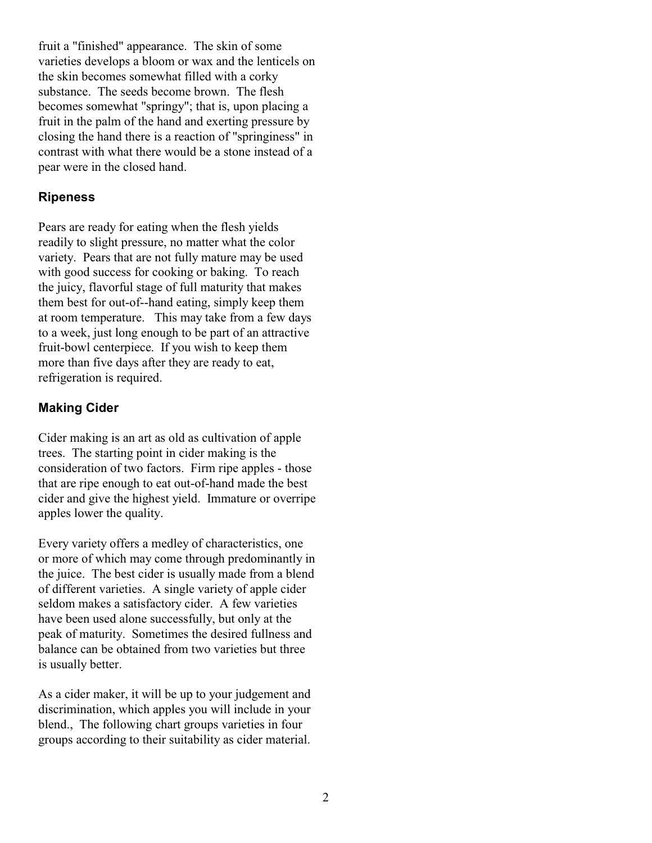fruit a "finished" appearance. The skin of some varieties develops a bloom or wax and the lenticels on the skin becomes somewhat filled with a corky substance. The seeds become brown. The flesh becomes somewhat "springy"; that is, upon placing a fruit in the palm of the hand and exerting pressure by closing the hand there is a reaction of "springiness" in contrast with what there would be a stone instead of a pear were in the closed hand.

## **Ripeness**

Pears are ready for eating when the flesh yields readily to slight pressure, no matter what the color variety. Pears that are not fully mature may be used with good success for cooking or baking. To reach the juicy, flavorful stage of full maturity that makes them best for out-of--hand eating, simply keep them at room temperature. This may take from a few days to a week, just long enough to be part of an attractive fruit-bowl centerpiece. If you wish to keep them more than five days after they are ready to eat, refrigeration is required.

# **Making Cider**

Cider making is an art as old as cultivation of apple trees. The starting point in cider making is the consideration of two factors. Firm ripe apples - those that are ripe enough to eat out-of-hand made the best cider and give the highest yield. Immature or overripe apples lower the quality.

Every variety offers a medley of characteristics, one or more of which may come through predominantly in the juice. The best cider is usually made from a blend of different varieties. A single variety of apple cider seldom makes a satisfactory cider. A few varieties have been used alone successfully, but only at the peak of maturity. Sometimes the desired fullness and balance can be obtained from two varieties but three is usually better.

As a cider maker, it will be up to your judgement and discrimination, which apples you will include in your blend., The following chart groups varieties in four groups according to their suitability as cider material.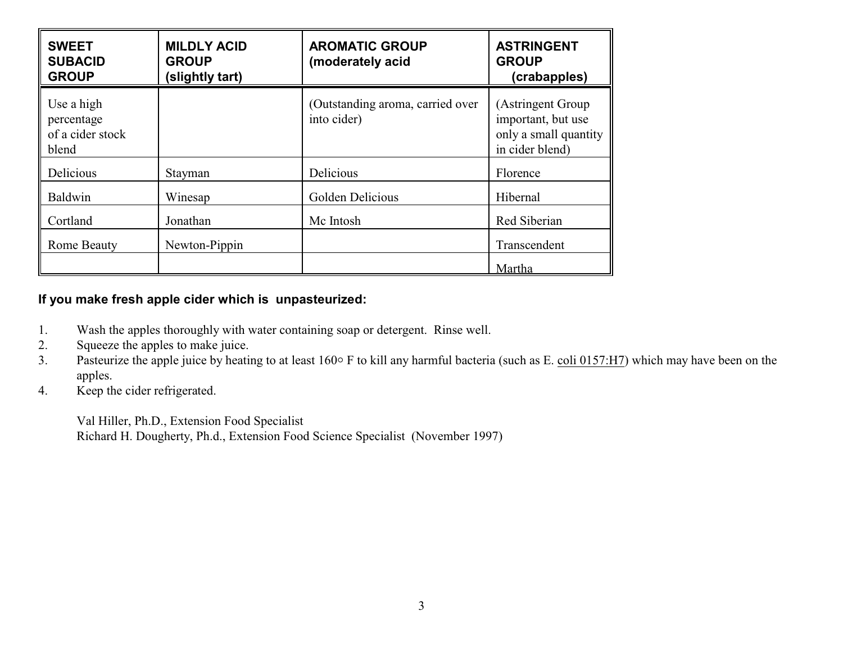| <b>SWEET</b><br><b>SUBACID</b><br><b>GROUP</b>        | <b>MILDLY ACID</b><br><b>GROUP</b><br>(slightly tart) | <b>AROMATIC GROUP</b><br>(moderately acid       | <b>ASTRINGENT</b><br><b>GROUP</b><br>(crabapples)                                   |
|-------------------------------------------------------|-------------------------------------------------------|-------------------------------------------------|-------------------------------------------------------------------------------------|
| Use a high<br>percentage<br>of a cider stock<br>blend |                                                       | (Outstanding aroma, carried over<br>into cider) | (Astringent Group<br>important, but use<br>only a small quantity<br>in cider blend) |
| Delicious                                             | Stayman                                               | Delicious                                       | Florence                                                                            |
| Baldwin                                               | Winesap                                               | Golden Delicious                                | Hibernal                                                                            |
| Cortland                                              | Jonathan                                              | Mc Intosh                                       | Red Siberian                                                                        |
| Rome Beauty                                           | Newton-Pippin                                         |                                                 | Transcendent                                                                        |
|                                                       |                                                       |                                                 | Martha                                                                              |

# **If you make fresh apple cider which is unpasteurized:**

- 1. Wash the apples thoroughly with water containing soap or detergent. Rinse well.<br>2. Squeeze the apples to make juice.
- Squeeze the apples to make juice.
- 3. Pasteurize the apple juice by heating to at least 160° F to kill any harmful bacteria (such as E. coli 0157:H7) which may have been on the apples.
- 4. Keep the cider refrigerated.

Val Hiller, Ph.D., Extension Food Specialist Richard H. Dougherty, Ph.d., Extension Food Science Specialist (November 1997)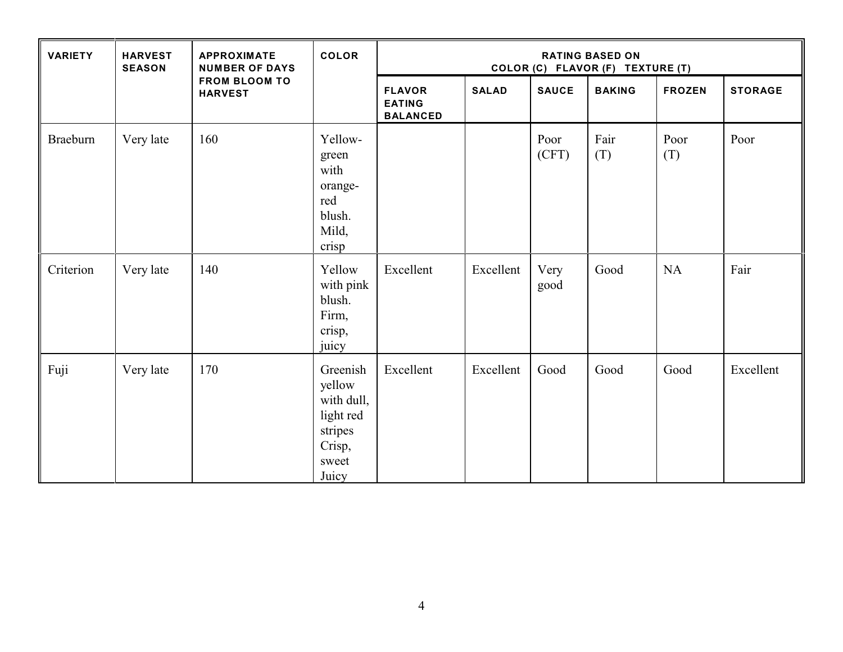| <b>VARIETY</b>  | <b>HARVEST</b><br><b>SEASON</b> | <b>APPROXIMATE</b><br><b>NUMBER OF DAYS</b><br><b>FROM BLOOM TO</b><br><b>HARVEST</b> | <b>COLOR</b>                                                                         | <b>RATING BASED ON</b><br>COLOR (C) FLAVOR (F) TEXTURE (T) |              |               |               |               |                |
|-----------------|---------------------------------|---------------------------------------------------------------------------------------|--------------------------------------------------------------------------------------|------------------------------------------------------------|--------------|---------------|---------------|---------------|----------------|
|                 |                                 |                                                                                       |                                                                                      | <b>FLAVOR</b><br><b>EATING</b><br><b>BALANCED</b>          | <b>SALAD</b> | <b>SAUCE</b>  | <b>BAKING</b> | <b>FROZEN</b> | <b>STORAGE</b> |
| <b>Braeburn</b> | Very late                       | 160                                                                                   | Yellow-<br>green<br>with<br>orange-<br>red<br>blush.<br>Mild,<br>crisp               |                                                            |              | Poor<br>(CFT) | Fair<br>(T)   | Poor<br>(T)   | Poor           |
| Criterion       | Very late                       | 140                                                                                   | Yellow<br>with pink<br>blush.<br>Firm,<br>crisp,<br>juicy                            | Excellent                                                  | Excellent    | Very<br>good  | Good          | <b>NA</b>     | Fair           |
| Fuji            | Very late                       | 170                                                                                   | Greenish<br>yellow<br>with dull,<br>light red<br>stripes<br>Crisp,<br>sweet<br>Juicy | Excellent                                                  | Excellent    | Good          | Good          | Good          | Excellent      |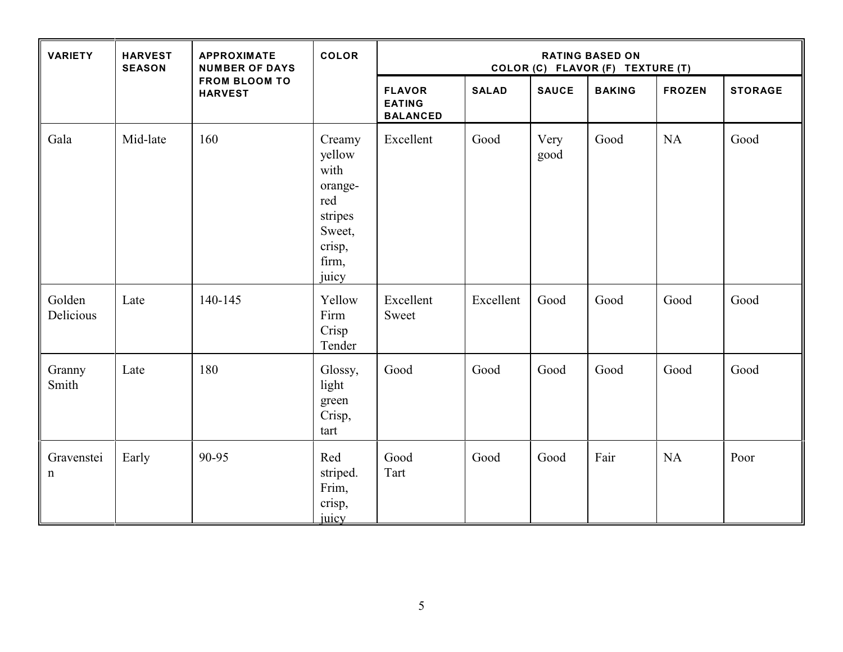| <b>VARIETY</b>      | <b>HARVEST</b><br><b>SEASON</b> | <b>APPROXIMATE</b><br><b>NUMBER OF DAYS</b><br><b>FROM BLOOM TO</b><br><b>HARVEST</b> | COLOR                                                                                       | <b>RATING BASED ON</b><br>COLOR (C) FLAVOR (F) TEXTURE (T) |              |              |               |               |                |
|---------------------|---------------------------------|---------------------------------------------------------------------------------------|---------------------------------------------------------------------------------------------|------------------------------------------------------------|--------------|--------------|---------------|---------------|----------------|
|                     |                                 |                                                                                       |                                                                                             | <b>FLAVOR</b><br><b>EATING</b><br><b>BALANCED</b>          | <b>SALAD</b> | <b>SAUCE</b> | <b>BAKING</b> | <b>FROZEN</b> | <b>STORAGE</b> |
| Gala                | Mid-late                        | 160                                                                                   | Creamy<br>yellow<br>with<br>orange-<br>red<br>stripes<br>Sweet,<br>crisp,<br>firm,<br>juicy | Excellent                                                  | Good         | Very<br>good | Good          | <b>NA</b>     | Good           |
| Golden<br>Delicious | Late                            | 140-145                                                                               | Yellow<br>Firm<br>Crisp<br>Tender                                                           | Excellent<br>Sweet                                         | Excellent    | Good         | Good          | Good          | Good           |
| Granny<br>Smith     | Late                            | 180                                                                                   | Glossy,<br>light<br>green<br>Crisp,<br>tart                                                 | Good                                                       | Good         | Good         | Good          | Good          | Good           |
| Gravenstei<br>n     | Early                           | 90-95                                                                                 | Red<br>striped.<br>Frim,<br>crisp,<br>juicy                                                 | Good<br>Tart                                               | Good         | Good         | Fair          | <b>NA</b>     | Poor           |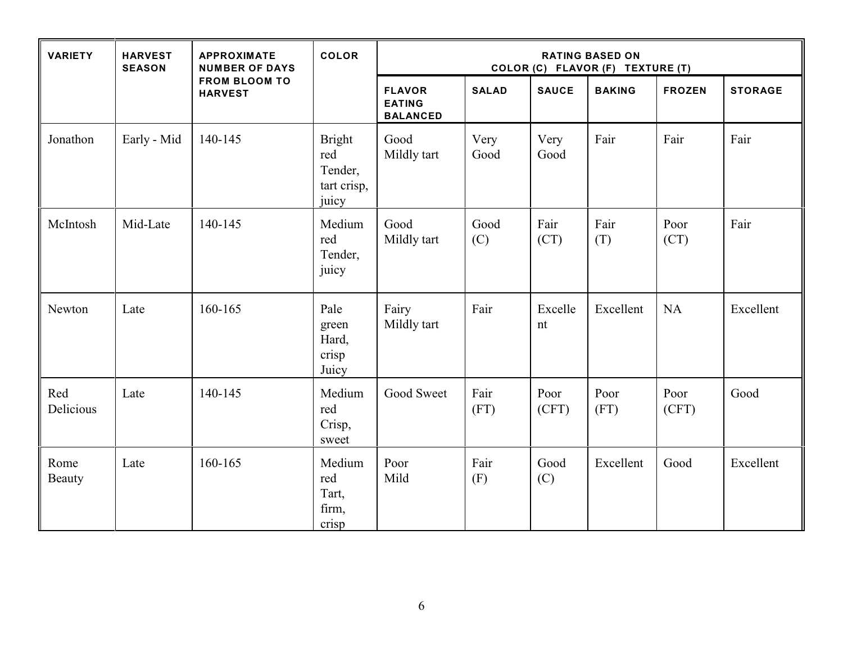| <b>VARIETY</b>        | <b>HARVEST</b><br><b>SEASON</b> | <b>APPROXIMATE</b><br><b>NUMBER OF DAYS</b><br><b>FROM BLOOM TO</b><br><b>HARVEST</b> | <b>COLOR</b>                                            | <b>RATING BASED ON</b><br>COLOR (C) FLAVOR (F) TEXTURE (T) |              |               |               |               |                |
|-----------------------|---------------------------------|---------------------------------------------------------------------------------------|---------------------------------------------------------|------------------------------------------------------------|--------------|---------------|---------------|---------------|----------------|
|                       |                                 |                                                                                       |                                                         | <b>FLAVOR</b><br><b>EATING</b><br><b>BALANCED</b>          | <b>SALAD</b> | <b>SAUCE</b>  | <b>BAKING</b> | <b>FROZEN</b> | <b>STORAGE</b> |
| Jonathon              | Early - Mid                     | 140-145                                                                               | <b>Bright</b><br>red<br>Tender,<br>tart crisp,<br>juicy | Good<br>Mildly tart                                        | Very<br>Good | Very<br>Good  | Fair          | Fair          | Fair           |
| McIntosh              | Mid-Late                        | 140-145                                                                               | Medium<br>red<br>Tender,<br>juicy                       | Good<br>Mildly tart                                        | Good<br>(C)  | Fair<br>(CT)  | Fair<br>(T)   | Poor<br>(CT)  | Fair           |
| Newton                | Late                            | 160-165                                                                               | Pale<br>green<br>Hard,<br>crisp<br>Juicy                | Fairy<br>Mildly tart                                       | Fair         | Excelle<br>nt | Excellent     | <b>NA</b>     | Excellent      |
| Red<br>Delicious      | Late                            | 140-145                                                                               | Medium<br>red<br>Crisp,<br>sweet                        | Good Sweet                                                 | Fair<br>(FT) | Poor<br>(CFT) | Poor<br>(FT)  | Poor<br>(CFT) | Good           |
| Rome<br><b>Beauty</b> | Late                            | 160-165                                                                               | Medium<br>red<br>Tart,<br>firm,<br>crisp                | Poor<br>Mild                                               | Fair<br>(F)  | Good<br>(C)   | Excellent     | Good          | Excellent      |